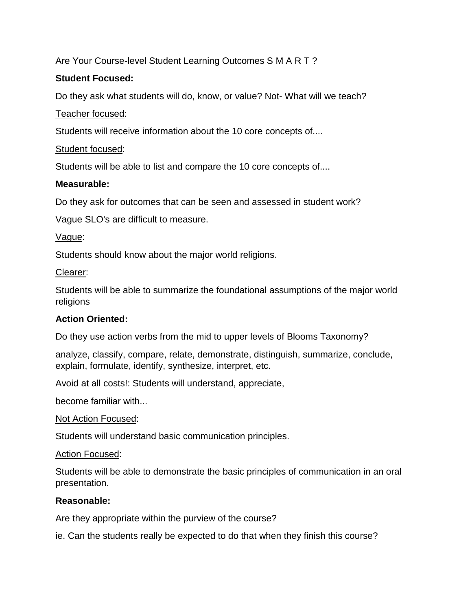# Are Your Course-level Student Learning Outcomes S M A R T ?

## **Student Focused:**

Do they ask what students will do, know, or value? Not- What will we teach?

### Teacher focused:

Students will receive information about the 10 core concepts of....

## Student focused:

Students will be able to list and compare the 10 core concepts of....

### **Measurable:**

Do they ask for outcomes that can be seen and assessed in student work?

Vague SLO's are difficult to measure.

### Vague:

Students should know about the major world religions.

### Clearer:

Students will be able to summarize the foundational assumptions of the major world religions

# **Action Oriented:**

Do they use action verbs from the mid to upper levels of Blooms Taxonomy?

analyze, classify, compare, relate, demonstrate, distinguish, summarize, conclude, explain, formulate, identify, synthesize, interpret, etc.

Avoid at all costs!: Students will understand, appreciate,

become familiar with...

### Not Action Focused:

Students will understand basic communication principles.

### Action Focused:

Students will be able to demonstrate the basic principles of communication in an oral presentation.

### **Reasonable:**

Are they appropriate within the purview of the course?

ie. Can the students really be expected to do that when they finish this course?